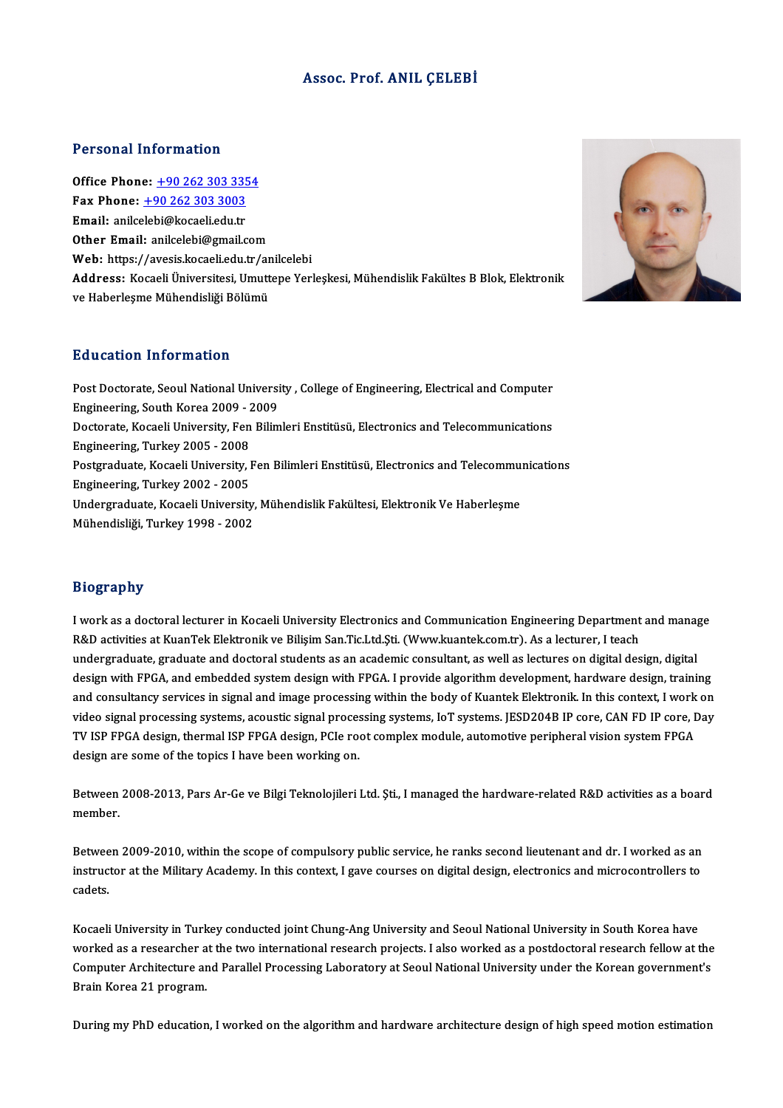#### Assoc. Prof. ANIL ÇELEBİ

#### Personal Information

Office Phone: +90 262 303 3354 1 01001141 11101 11141011<br>0ffice Phone: <u>+90 262 303 335</u><br>Fax Phone: <u>+90 262 303 3003</u> Office Phone: <u>+90 262 303 335</u><br>Fax Phone: <u>+90 262 303 3003</u><br>Email: anilc[elebi@kocaeli.edu.tr](tel:+90 262 303 3003) Fax Phone: <u>+90 262 303 3003</u><br>Email: anilcelebi@kocaeli.edu.tr<br>Other Email: anilcelebi@gmail.com Email: anilcelebi@kocaeli.edu.tr<br>Other Email: anilcelebi@gmail.com<br>Web: https://avesis.kocaeli.edu.tr/anilcelebi Other Email: anilcelebi@gmail.com<br>Web: https://avesis.kocaeli.edu.tr/anilcelebi<br>Address: Kocaeli Üniversitesi, Umuttepe Yerleşkesi, Mühendislik Fakültes B Blok, Elektronik<br>ve Haberlesme Mühendieliği Bölümü **Web:** https://avesis.kocaeli.edu.tr/ar<br><mark>Address:</mark> Kocaeli Üniversitesi, Umutt<br>ve Haberleşme Mühendisliği Bölümü ve Haberleşme Mühendisliği Bölümü<br>Education Information

Education Information<br>Post Doctorate, Seoul National University , College of Engineering, Electrical and Computer<br>Engineering, South Kores 2000 , 2000 Eudeacton Information<br>Post Doctorate, Seoul National Universi<br>Engineering, South Korea 2009 - 2009<br>Doctorate, Kosaeli University, Een Bilim Post Doctorate, Seoul National University , College of Engineering, Electrical and Computer<br>Engineering, South Korea 2009 - 2009<br>Doctorate, Kocaeli University, Fen Bilimleri Enstitüsü, Electronics and Telecommunications<br>En Engineering, South Korea 2009 - 2009<br>Doctorate, Kocaeli University, Fen Bilimleri Enstitüsü, Electronics and Telecommunications<br>Engineering, Turkey 2005 - 2008 Doctorate, Kocaeli University, Fen Bilimleri Enstitüsü, Electronics and Telecommunications<br>Engineering, Turkey 2005 - 2008<br>Postgraduate, Kocaeli University, Fen Bilimleri Enstitüsü, Electronics and Telecommunications<br>Engin Engineering, Turkey 2005 - 2008<br>Postgraduate, Kocaeli University, l<br>Engineering, Turkey 2002 - 2005<br>Undergraduate, Kocaeli Universit Postgraduate, Kocaeli University, Fen Bilimleri Enstitüsü, Electronics and Telecommu:<br>Engineering, Turkey 2002 - 2005<br>Undergraduate, Kocaeli University, Mühendislik Fakültesi, Elektronik Ve Haberleşme<br>Mühendisliği, Turkey Engineering, Turkey 2002 - 2005<br>Undergraduate, Kocaeli University, Mühendislik Fakültesi, Elektronik Ve Haberleşme<br>Mühendisliği, Turkey 1998 - 2002

#### Biography

Biography<br>I work as a doctoral lecturer in Kocaeli University Electronics and Communication Engineering Department and manage<br>R&D activities at KuanTek Elektronik ve Bilisim San Tie Ltd Sti (Wury luantek sam tr). As a lect R&D activities at KuanTek Elektronik ve Bilişim San.Tic.Ltd.Şti. (Www.kuantek.com.tr). As a lecturer, I teach<br>undergraduate, graduate and doctoral students as an academic consultant, as well as lectures on digital design, I work as a doctoral lecturer in Kocaeli University Electronics and Communication Engineering Department and manag<br>R&D activities at KuanTek Elektronik ve Bilişim San.Tic.Ltd.Şti. (Www.kuantek.com.tr). As a lecturer, I tea design with FPGA, and embedded system design with FPGA. I provide algorithm development, hardware design, training undergraduate, graduate and doctoral students as an academic consultant, as well as lectures on digital design, digital<br>design with FPGA, and embedded system design with FPGA. I provide algorithm development, hardware desi design with FPGA, and embedded system design with FPGA. I provide algorithm development, hardware design, training<br>and consultancy services in signal and image processing within the body of Kuantek Elektronik. In this cont and consultancy services in signal and image processing within the body of Kuantek Elektronik. In this context, I work<br>video signal processing systems, acoustic signal processing systems, IoT systems. JESD204B IP core, CAN video signal processing systems, acoustic signal processing systems, IoT systems. JESD204B IP core, CAN FD IP core, Day<br>TV ISP FPGA design, thermal ISP FPGA design, PCIe root complex module, automotive peripheral vision sy

design are some of the topics I have been working on.<br>Between 2008-2013, Pars Ar-Ge ve Bilgi Teknolojileri Ltd. Şti., I managed the hardware-related R&D activities as a board<br>mambar Between<br>member.

member.<br>Between 2009-2010, within the scope of compulsory public service, he ranks second lieutenant and dr. I worked as an<br>instructor at the Military Academy. In this context, I gave courses on digital design, electronics Between 2009-2010, within the scope of compulsory public service, he ranks second lieutenant and dr. I worked as an<br>instructor at the Military Academy. In this context, I gave courses on digital design, electronics and mic Betwee<br>instruc<br>cadets. cadets.<br>Kocaeli University in Turkey conducted joint Chung-Ang University and Seoul National University in South Korea have

Kocaeli University in Turkey conducted joint Chung-Ang University and Seoul National University in South Korea have<br>worked as a researcher at the two international research projects. I also worked as a postdoctoral researc Kocaeli University in Turkey conducted joint Chung-Ang University and Seoul National University in South Korea have<br>worked as a researcher at the two international research projects. I also worked as a postdoctoral researc worked as a researcher a<br>Computer Architecture ar<br>Brain Korea 21 program. Brain Korea 21 program.<br>During my PhD education, I worked on the algorithm and hardware architecture design of high speed motion estimation

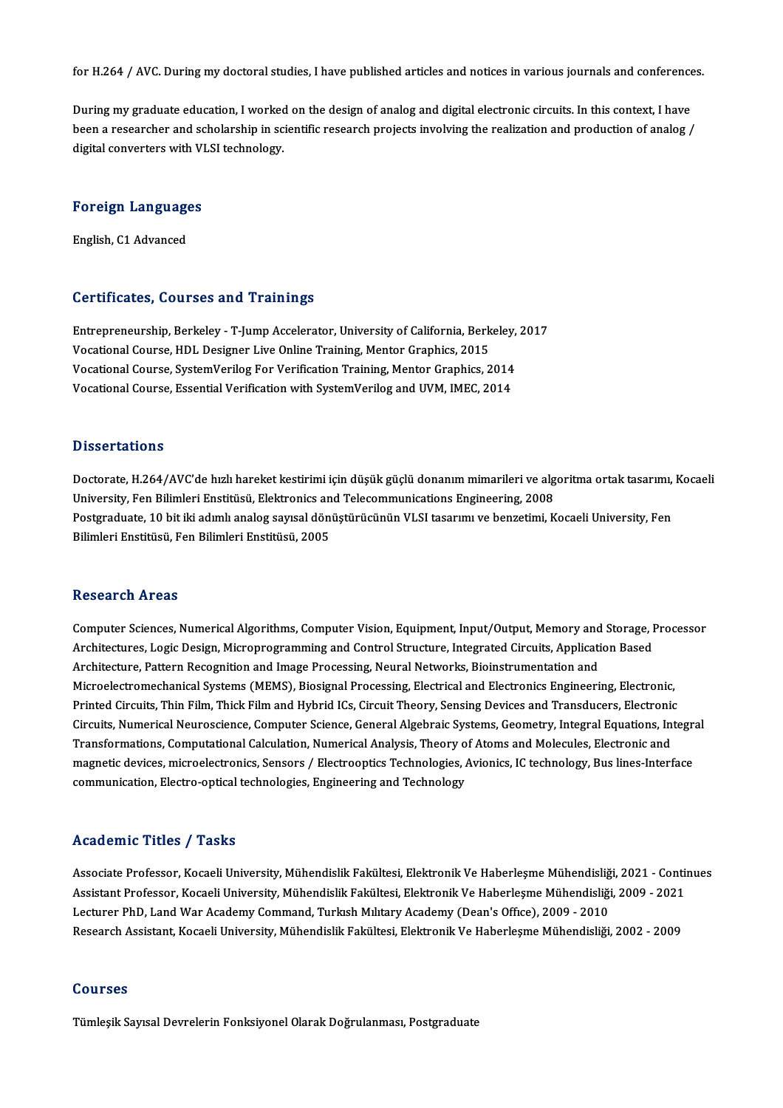for H.264 / AVC. During my doctoral studies, I have published articles and notices in various journals and conferences.

for H.264 / AVC. During my doctoral studies, I have published articles and notices in various journals and conference<br>During my graduate education, I worked on the design of analog and digital electronic circuits. In this During my graduate education, I worked on the design of analog and digital electronic circuits. In this context, I have<br>been a researcher and scholarship in scientific research projects involving the realization and produc During my graduate education, I worked<br>been a researcher and scholarship in sc<br>digital converters with VLSI technology.

## uigital converters with vi<br>Foreign Languages <mark>Foreign Language</mark><br>English, C1 Advanced

# English, C1 Advanced<br>Certificates, Courses and Trainings

Entrepreneurship, Berkeley - T-Jump Accelerator, University of California, Berkeley, 2017 UST CHICACOS, USUL DUS UNU TTUNINGS<br>Entrepreneurship, Berkeley - T-Jump Accelerator, University of California, Berk<br>Vocational Course, HDL Designer Live Online Training, Mentor Graphics, 2015<br>Vocational Course, SystemVeril Entrepreneurship, Berkeley - T-Jump Accelerator, University of California, Berkeley,<br>Vocational Course, HDL Designer Live Online Training, Mentor Graphics, 2015<br>Vocational Course, SystemVerilog For Verification Training, M Vocational Course, SystemVerilog For Verification Training, Mentor Graphics, 2014<br>Vocational Course, Essential Verification with SystemVerilog and UVM, IMEC, 2014

#### **Dissertations**

Doctorate, H.264/AVC'de hızlı hareket kestirimi için düşük güçlü donanım mimarileri ve algoritma ortak tasarımı, Kocaeli Universität<br>Doctorate, H.264/AVC'de hızlı hareket kestirimi için düşük güçlü donanım mimarileri ve alg<br>University, Fen Bilimleri Enstitüsü, Elektronics and Telecommunications Engineering, 2008<br>Postaraduata 10 bit iki adıml Postgraduate, 10 bit iki adımlı analog sayısal dönüştürücünün VLSI tasarımı ve benzetimi, Kocaeli University, Fen<br>Bilimleri Enstitüsü, Fen Bilimleri Enstitüsü, 2005 University, Fen Bilimleri Enstitüsü, Elektronics an<br>Postgraduate, 10 bit iki adımlı analog sayısal dön<br>Bilimleri Enstitüsü, Fen Bilimleri Enstitüsü, 2005

#### Research Areas

Computer Sciences, Numerical Algorithms, Computer Vision, Equipment, Input/Output, Memory and Storage, Processor Architectures, Mumerical Algorithms, Computer Vision, Equipment, Input/Output, Memory and Storage, I<br>Architectures, Logic Design, Microprogramming and Control Structure, Integrated Circuits, Application Based<br>Architecture, Computer Sciences, Numerical Algorithms, Computer Vision, Equipment, Input/Output, Memory and<br>Architectures, Logic Design, Microprogramming and Control Structure, Integrated Circuits, Applicati<br>Architecture, Pattern Recogn Architectures, Logic Design, Microprogramming and Control Structure, Integrated Circuits, Application Based<br>Architecture, Pattern Recognition and Image Processing, Neural Networks, Bioinstrumentation and<br>Microelectromechan Architecture, Pattern Recognition and Image Processing, Neural Networks, Bioinstrumentation and<br>Microelectromechanical Systems (MEMS), Biosignal Processing, Electrical and Electronics Engineering, Electronic<br>Printed Circui Microelectromechanical Systems (MEMS), Biosignal Processing, Electrical and Electronics Engineering, Electronic,<br>Printed Circuits, Thin Film, Thick Film and Hybrid ICs, Circuit Theory, Sensing Devices and Transducers, Elec Printed Circuits, Thin Film, Thick Film and Hybrid ICs, Circuit Theory, Sensing Devices and Transducers, Electronic<br>Circuits, Numerical Neuroscience, Computer Science, General Algebraic Systems, Geometry, Integral Equation Circuits, Numerical Neuroscience, Computer Science, General Algebraic Systems, Geometry, Integral Equations, Integra<br>Transformations, Computational Calculation, Numerical Analysis, Theory of Atoms and Molecules, Electronic Transformations, Computational Calculation, Numerical Analysis, Theory of Atoms and Molecules, Electronic and<br>magnetic devices, microelectronics, Sensors / Electrooptics Technologies, Avionics, IC technology, Bus lines-Int

#### Academic Titles / Tasks

Academic Titles / Tasks<br>Associate Professor, Kocaeli University, Mühendislik Fakültesi, Elektronik Ve Haberleşme Mühendisliği, 2021 - Continues<br>Assistant Professor, Kocaeli University, Mühendislik Fakültesi, Elektronik Ve Associate Professor, Kocaeli University, Mühendislik Fakültesi, Elektronik Ve Haberleşme Mühendisliği, 2021 - Conti<br>Assistant Professor, Kocaeli University, Mühendislik Fakültesi, Elektronik Ve Haberleşme Mühendisliği, 200 Associate Professor, Kocaeli University, Mühendislik Fakültesi, Elektronik Ve Haberleşme Mühendisliğ<br>Assistant Professor, Kocaeli University, Mühendislik Fakültesi, Elektronik Ve Haberleşme Mühendisliği<br>Lecturer PhD, Land Assistant Professor, Kocaeli University, Mühendislik Fakültesi, Elektronik Ve Haberleşme Mühendisliği, 2009 - 2021<br>Lecturer PhD, Land War Academy Command, Turkısh Mılıtary Academy (Dean's Office), 2009 - 2010<br>Research Assi

#### Courses

Tümleşik Sayısal Devrelerin Fonksiyonel Olarak Doğrulanması, Postgraduate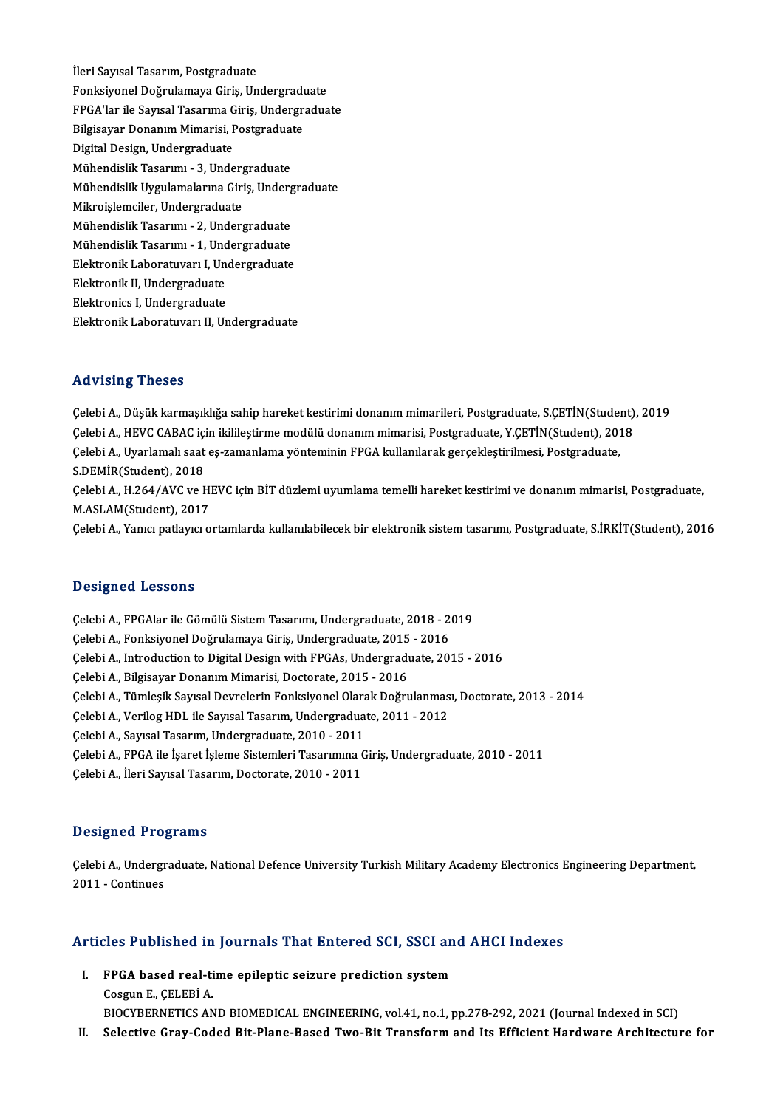İleri Sayısal Tasarım, Postgraduate İleri Sayısal Tasarım, Postgraduate<br>Fonksiyonel Doğrulamaya Giriş, Undergraduate<br>EPCA'ler ile Seyreal Tesarıma Giriş, Undergradua FPGA'lar ile Sayısal Tasarıma Giriş, Undergraduate<br>Bilgisavar Donanım Mimarisi. Postgraduate Fonksiyonel Doğrulamaya Giriş, Undergradı<br>FPGA'lar ile Sayısal Tasarıma Giriş, Undergra<br>Bilgisayar Donanım Mimarisi, Postgraduate<br>Digital Dosign Undergraduate Digital Design, Undergraduate MühendislikTasarımı -3,Undergraduate Digital Design, Undergraduate<br>Mühendislik Tasarımı - 3, Undergraduate<br>Mühendislik Uygulamalarına Giriş, Undergraduate<br>Mikroislamsilar, Undergraduate Mühendislik Tasarımı - 3, Underg<br>Mühendislik Uygulamalarına Giri<br>Mikroişlemciler, Undergraduate<br>Mühendislik Tasarımı - 2, Underg Mühendislik Uygulamalarına Giriş, Underg<br>Mikroişlemciler, Undergraduate<br>Mühendislik Tasarımı - 2, Undergraduate<br>Mühendislik Tasarımı - 1, Undergraduate Mikroişlemciler, Undergraduate<br>Mühendislik Tasarımı - 2, Undergraduate<br>Mühendislik Tasarımı - 1, Undergraduate<br>Flektronik Laboratuvan I, Undergraduate Mühendislik Tasarımı - 2, Undergraduate<br>Mühendislik Tasarımı - 1, Undergraduate<br>Elektronik Laboratuvarı I, Undergraduate<br>Elektronik II, Undergraduate Mühendislik Tasarımı - 1, Und<br>Elektronik Laboratuvarı I, Un<br>Elektronik II, Undergraduate<br>Elektronice I, Undergraduate Elektronik Laboratuvarı I, Undergraduate<br>Elektronik II, Undergraduate<br>Elektronics I, Undergraduate Elektronik Laboratuvarı II, Undergraduate

#### Advising Theses

ÇelebiA.,Düşükkarmaşıklığa sahip hareketkestirimidonanımmimarileri,Postgraduate,S.ÇETİN(Student),2019 rta v rorr<sub>ı</sub>ş "rreses"<br>Çelebi A., Düşük karmaşıklığa sahip hareket kestirimi donanım mimarileri, Postgraduate, S.ÇETİN(Student)<br>Çelebi A., HEVC CABAC için ikilileştirme modülü donanım mimarisi, Postgraduate, Y.ÇETİN(Stude Çelebi A., Düşük karmaşıklığa sahip hareket kestirimi donanım mimarileri, Postgraduate, S.ÇETİN(Stude:<br>Çelebi A., HEVC CABAC için ikilileştirme modülü donanım mimarisi, Postgraduate, Y.ÇETİN(Student), 201<br>Çelebi A., Uyarla Celebi A., HEVC CABAC içi<br>Celebi A., Uyarlamalı saat<br>S.DEMİR(Student), 2018<br>Celebi A. H 264 (AVC ve b Çelebi A., Uyarlamalı saat eş-zamanlama yönteminin FPGA kullanılarak gerçekleştirilmesi, Postgraduate,<br>S.DEMİR(Student), 2018<br>Çelebi A., H.264/AVC ve HEVC için BİT düzlemi uyumlama temelli hareket kestirimi ve donanım mima S.DEMİR(Student), 2018<br>Çelebi A., H.264/AVC ve HI<br>M.ASLAM(Student), 2017<br>Celebi A. Yanısı natlayıcı e M.ASLAM(Student), 2017<br>Celebi A., Yanıcı patlayıcı ortamlarda kullanılabilecek bir elektronik sistem tasarımı, Postgraduate, S.İRKİT(Student), 2016

#### Designed Lessons

ÇelebiA.,FPGAlar ileGömülü SistemTasarımı,Undergraduate,2018 -2019 Stangarea Sessone<br>Çelebi A., FPGAlar ile Gömülü Sistem Tasarımı, Undergraduate, 2018 - 2<br>Çelebi A., Fonksiyonel Doğrulamaya Giriş, Undergraduate, 2015 - 2016<br>Celebi A. Intreduction to Digital Design ujth EPCAs Undergraduat Çelebi A., Introduction to Digital Design with FPGAs, Undergraduate, 2015 - 2016<br>Çelebi A., Bilgisayar Donanım Mimarisi, Doctorate, 2015 - 2016 Çelebi A., Fonksiyonel Doğrulamaya Giriş, Undergraduate, 2015<br>Çelebi A., Introduction to Digital Design with FPGAs, Undergradı<br>Çelebi A., Bilgisayar Donanım Mimarisi, Doctorate, 2015 - 2016<br>Celebi A., Tümlesil: Sayısal Dey Çelebi A., Introduction to Digital Design with FPGAs, Undergraduate, 2015 - 2016<br>Çelebi A., Bilgisayar Donanım Mimarisi, Doctorate, 2015 - 2016<br>Çelebi A., Tümleşik Sayısal Devrelerin Fonksiyonel Olarak Doğrulanması, Doctor Çelebi A., Bilgisayar Donanım Mimarisi, Doctorate, 2015 - 2016<br>Çelebi A., Tümleşik Sayısal Devrelerin Fonksiyonel Olarak Doğrulanmas<br>Çelebi A., Verilog HDL ile Sayısal Tasarım, Undergraduate, 2011 - 2012<br>Celebi A., Sayıcal Çelebi A., Tümleşik Sayısal Devrelerin Fonksiyonel Olara<br>Çelebi A., Verilog HDL ile Sayısal Tasarım, Undergradua<br>Çelebi A., Sayısal Tasarım, Undergraduate, 2010 - 2011<br>Çelebi A., EBCA ile İsaret İslama Sistamlari Tasarımın Çelebi A., Verilog HDL ile Sayısal Tasarım, Undergraduate, 2011 - 2012<br>Çelebi A., Sayısal Tasarım, Undergraduate, 2010 - 2011<br>Çelebi A., FPGA ile İşaret İşleme Sistemleri Tasarımına Giriş, Undergraduate, 2010 - 2011<br>Çelebi Çelebi A., Sayısal Tasarım, Undergraduate, 2010 - 2011<br>Çelebi A., FPGA ile İşaret İşleme Sistemleri Tasarımına (<br>Çelebi A., İleri Sayısal Tasarım, Doctorate, 2010 - 2011 Çelebi A., İleri Sayısal Tasarım, Doctorate, 2010 - 2011<br>Designed Programs

Celebi A., Undergraduate, National Defence University Turkish Military Academy Electronics Engineering Department, 2011 -Continues

# 2011 - Conunues<br>Articles Published in Journals That Entered SCI, SSCI and AHCI Indexes

rticles Published in Journals That Entered SCI, SSCI an<br>I. FPGA based real-time epileptic seizure prediction system<br>Coszur E. CELEPI A I. FPGA based real-time epileptic seizure prediction system<br>Cosgun E., CELEBİ A.

BIOCYBERNETICSANDBIOMEDICAL ENGINEERING,vol.41,no.1,pp.278-292,2021 (Journal Indexed inSCI) II. Selective Gray-Coded Bit-Plane-Based Two-Bit Transform and Its Efficient Hardware Architecture for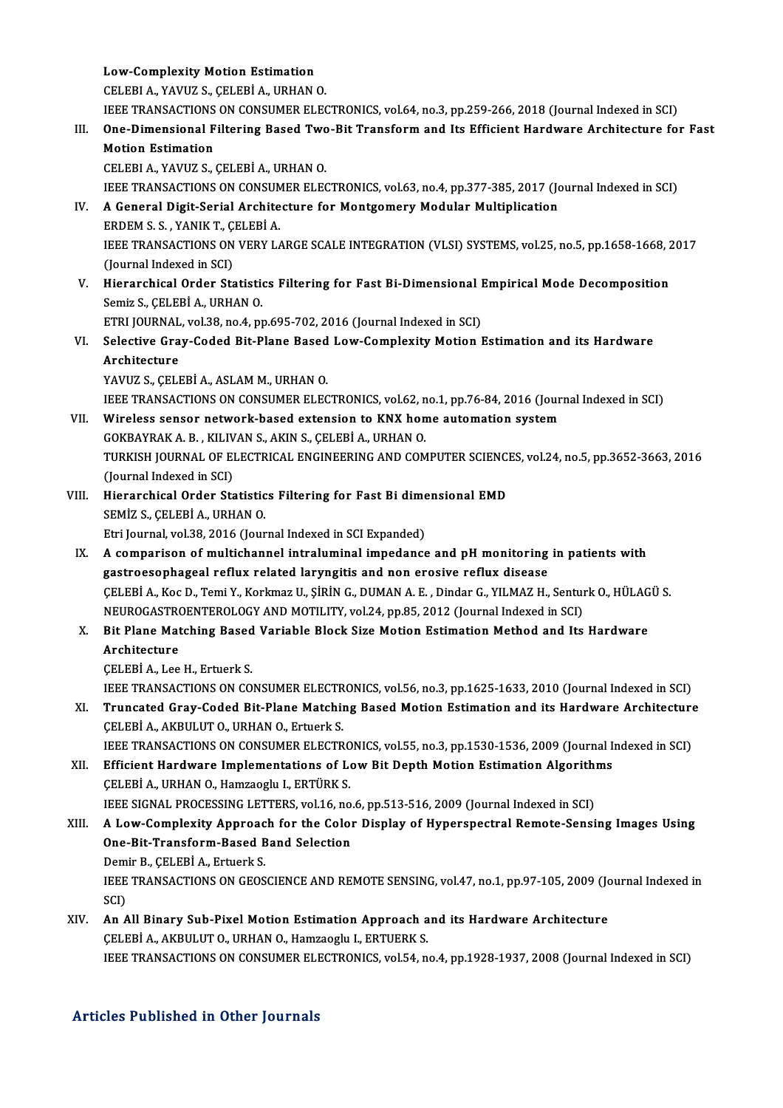Low-Complexity Motion Estimation<br>CELEBLA VAVUZS CELEBLA UPHAN

Low-Complexity Motion Estimation<br>CELEBI A., YAVUZ S., ÇELEBİ A., URHAN O.<br>JEEE TRANSACTIONS ON CONSUMER ELEC

Low-Complexity Motion Estimation<br>CELEBI A., YAVUZ S., ÇELEBİ A., URHAN O.<br>IEEE TRANSACTIONS ON CONSUMER ELECTRONICS, vol.64, no.3, pp.259-266, 2018 (Journal Indexed in SCI)<br>One Dimensional Eiltering Based Two Bit Transform

## CELEBI A., YAVUZ S., ÇELEBİ A., URHAN O.<br>IEEE TRANSACTIONS ON CONSUMER ELECTRONICS, vol.64, no.3, pp.259-266, 2018 (Journal Indexed in SCI)<br>III. One-Dimensional Filtering Based Two-Bit Transform and Its Efficient Hardw **IEEE TRANSACTIONS<br>One-Dimensional F<br>Motion Estimation<br>CELEPLA XAVUZ S**

CELEBIA.,YAVUZ S.,ÇELEBİA.,URHANO.

Motion Estimation<br>CELEBI A., YAVUZ S., ÇELEBİ A., URHAN O.<br>IEEE TRANSACTIONS ON CONSUMER ELECTRONICS, vol.63, no.4, pp.377-385, 2017 (Journal Indexed in SCI)<br>A Conoral Digit Serial Architecture for Montgomery Modular Multi

### IV. A General Digit-Serial Architecture for Montgomery Modular Multiplication<br>ERDEM S. S., YANIK T., CELEBI A. IEEE TRANSACTIONS ON CONSUM<br>A General Digit-Serial Archite<br>ERDEM S. S. , YANIK T., ÇELEBİ A.<br>IEEE TRANSACTIONS ON VERV L A General Digit-Serial Architecture for Montgomery Modular Multiplication<br>ERDEM S. S. , YANIK T., ÇELEBİ A.<br>IEEE TRANSACTIONS ON VERY LARGE SCALE INTEGRATION (VLSI) SYSTEMS, vol.25, no.5, pp.1658-1668, 2017<br>(Jaurnal Indove ERDEM S. S. , YANIK T., C.<br>IEEE TRANSACTIONS ON<br>(Journal Indexed in SCI)<br>Hierershisel Order Ste IEEE TRANSACTIONS ON VERY LARGE SCALE INTEGRATION (VLSI) SYSTEMS, vol.25, no.5, pp.1658-1668, 2<br>(Journal Indexed in SCI)<br>V. Hierarchical Order Statistics Filtering for Fast Bi-Dimensional Empirical Mode Decomposition<br>Somic

(Journal Indexed in SCI)<br>V. Hierarchical Order Statistics Filtering for Fast Bi-Dimensional Empirical Mode Decomposition<br>Semiz S., CELEBİ A., URHAN O. Hierarchical Order Statistics Filtering for Fast Bi-Dimensional I<br>Semiz S., ÇELEBİ A., URHAN O.<br>ETRI JOURNAL, vol.38, no.4, pp.695-702, 2016 (Journal Indexed in SCI)<br>Selective Crey Ceded Bit Plane Besed Lew Complexity Meti

## Semiz S., ÇELEBİ A., URHAN O.<br>ETRI JOURNAL, vol.38, no.4, pp.695-702, 2016 (Journal Indexed in SCI)<br>VI. Selective Gray-Coded Bit-Plane Based Low-Complexity Motion Estimation and its Hardware<br>Architecture ETRI JOURNAL<br>Selective Gra<br>Architecture<br>VAVUZ S. CELL Selective Gray-Coded Bit-Plane Based<br>Architecture<br>YAVUZ S., ÇELEBİ A., ASLAM M., URHAN O.<br>JEEE TRANSACTIONS ON CONSUMER ELEC

Architecture<br>YAVUZ S., ÇELEBİ A., ASLAM M., URHAN O.<br>IEEE TRANSACTIONS ON CONSUMER ELECTRONICS, vol.62, no.1, pp.76-84, 2016 (Journal Indexed in SCI)<br>Winalass sansar naturark based autansian ta KNY bame autamatian sustam YAVUZ S., ÇELEBİ A., ASLAM M., URHAN O.<br>IEEE TRANSACTIONS ON CONSUMER ELECTRONICS, vol.62, no.1, pp.76-84, 2016 (Jour<br>VII. Wireless sensor network-based extension to KNX home automation system<br>COVPAVPAK A. B., KU IVAN S. A

## THE TRANSACTIONS ON CONSUMER ELECTRONICS, vol.62, n<br>Wireless sensor network-based extension to KNX hon<br>GOKBAYRAK A. B., KILIVAN S., AKIN S., ÇELEBİ A., URHAN O.<br>TURKISLI IQURNAL OF ELECTRICAL ENCINEERING AND COM VII. Wireless sensor network-based extension to KNX home automation system<br>GOKBAYRAK A. B., KILIVAN S., AKIN S., ÇELEBİ A., URHAN O.<br>TURKISH JOURNAL OF ELECTRICAL ENGINEERING AND COMPUTER SCIENCES, vol.24, no.5, pp.3652-36 GOKBAYRAK A. B., KILIVAN S., AKIN S., CELEBİ A., URHAN O.

TURKISH JOURNAL OF ELECTRICAL ENGINEERING AND COMPUTER SCIENCI<br>(Journal Indexed in SCI)<br>VIII. Hierarchical Order Statistics Filtering for Fast Bi dimensional EMD<br>SEMIZ S. CELEPI A. UPHAN O (Journal Indexed in SCI)<br>Hierarchical Order Statistic<br>SEMİZ S., ÇELEBİ A., URHAN O.<br>Etri Journal val 28, 2016 (Jour Hierarchical Order Statistics Filtering for Fast Bi dime<br>SEMİZ S., ÇELEBİ A., URHAN O.<br>Etri Journal, vol.38, 2016 (Journal Indexed in SCI Expanded)<br>A semperisen of multishannel intraluminal impedance

SEMİZ S., ÇELEBİ A., URHAN O.<br>Etri Journal, vol.38, 2016 (Journal Indexed in SCI Expanded)<br>IX. A comparison of multichannel intraluminal impedance and pH monitoring in patients with Etri Journal, vol.38, 2016 (Journal Indexed in SCI Expanded)<br>A comparison of multichannel intraluminal impedance and pH monitoring<br>gastroesophageal reflux related laryngitis and non erosive reflux disease<br>CELERÍA, Kes D. T gastroesophageal reflux related laryngitis and non erosive reflux disease<br>ÇELEBİ A., Koc D., Temi Y., Korkmaz U., ŞİRİN G., DUMAN A. E. , Dindar G., YILMAZ H., Senturk O., HÜLAGÜ S. gastroesophageal reflux related laryngitis and non erosive reflux disease<br>ÇELEBİ A., Koc D., Temi Y., Korkmaz U., ŞİRİN G., DUMAN A. E. , Dindar G., YILMAZ H., Sentur<br>NEUROGASTROENTEROLOGY AND MOTILITY, vol.24, pp.85, 2012 CELEBİ A., Koc D., Temi Y., Korkmaz U., ŞİRİN G., DUMAN A. E. , Dindar G., YILMAZ H., Senturk O., HÜLAG<br>NEUROGASTROENTEROLOGY AND MOTILITY, vol.24, pp.85, 2012 (Journal Indexed in SCI)<br>X. Bit Plane Matching Based Variable

## NEUROGASTRO<br>Bit Plane Mat<br>Architecture **Bit Plane Matching Based<br>Architecture<br>ÇELEBİ A., Lee H., Ertuerk S.<br>JEEE TRANSACTIONS ON CO.** Architecture<br>ÇELEBİ A., Lee H., Ertuerk S.<br>IEEE TRANSACTIONS ON CONSUMER ELECTRONICS, vol.56, no.3, pp.1625-1633, 2010 (Journal Indexed in SCI)<br>Trungated Gray Goded Bit Blane Matching Besed Metion Estimation and its Hardyg

CELEBI A., Lee H., Ertuerk S.<br>IEEE TRANSACTIONS ON CONSUMER ELECTRONICS, vol.56, no.3, pp.1625-1633, 2010 (Journal Indexed in SCI)<br>XI. Truncated Gray-Coded Bit-Plane Matching Based Motion Estimation and its Hardware Ar **IEEE TRANSACTIONS ON CONSUMER ELECTR<br>Truncated Gray-Coded Bit-Plane Matchii**<br>CELEBİ A., AKBULUT O., URHAN O., Ertuerk S.<br>JEEE TRANSACTIONS ON CONSUMER ELECTR XI. Truncated Gray-Coded Bit-Plane Matching Based Motion Estimation and its Hardware Architecture<br>CELEBI A., AKBULUT O., URHAN O., Ertuerk S.<br>IEEE TRANSACTIONS ON CONSUMER ELECTRONICS, vol.55, no.3, pp.1530-1536, 2009 (Jou

CELEBİ A., AKBULUT O., URHAN O., Ertuerk S.<br>IEEE TRANSACTIONS ON CONSUMER ELECTRONICS, vol.55, no.3, pp.1530-1536, 2009 (Journal I.<br>XII. Efficient Hardware Implementations of Low Bit Depth Motion Estimation Algorithms<br>CELE ÇELEBİ A., URHAN O., Hamzaoglu I., ERTÜRK S. Efficient Hardware Implementations of Low Bit Depth Motion Estimation Algorith<br>CELEBİ A., URHAN O., Hamzaoglu I., ERTÜRK S.<br>IEEE SIGNAL PROCESSING LETTERS, vol.16, no.6, pp.513-516, 2009 (Journal Indexed in SCI)<br>A Low Comp

### CELEBİ A., URHAN O., Hamzaoglu I., ERTÜRK S.<br>IEEE SIGNAL PROCESSING LETTERS, vol.16, no.6, pp.513-516, 2009 (Journal Indexed in SCI)<br>XIII. A Low-Complexity Approach for the Color Display of Hyperspectral Remote-Sensing IEEE SIGNAL PROCESSING LETTERS, vol.16, no.6, pp.513-516, 2009 (Journal Indexed in SCI)<br>A Low-Complexity Approach for the Color Display of Hyperspectral Remote-Sensi<br>One-Bit-Transform-Based Band Selection A Low-Complexity Approac<br>One-Bit-Transform-Based B<br>Demir B., ÇELEBİ A., Ertuerk S.<br>JEEE TRANSACTIONS ON CEOS IEEE TRANSACTIONS ON GEOSCIENCE AND REMOTE SENSING, vol.47, no.1, pp.97-105, 2009 (Journal Indexed in SCI) Demir B., CELEBİ A., Ertuerk S.

## IEEE TRANSACTIONS ON GEOSCIENCE AND REMOTE SENSING, vol.47, no.1, pp.97-105, 2009 (Jonath)<br>SCI)<br>XIV. An All Binary Sub-Pixel Motion Estimation Approach and its Hardware Architecture<br>CELEPLA AVPULUTO URHAN O HOMEOGINAL ERTU SCI)<br>An All Binary Sub-Pixel Motion Estimation Approach a<br>ÇELEBİ A., AKBULUT O., URHAN O., Hamzaoglu I., ERTUERK S.<br>JEEE TRANSACTIONS ON CONSUMER ELECTRONICS VOLE4 .p CELEBİ A., AKBULUT O., URHAN O., Hamzaoglu I., ERTUERK S.<br>IEEE TRANSACTIONS ON CONSUMER ELECTRONICS, vol.54, no.4, pp.1928-1937, 2008 (Journal Indexed in SCI)

#### Articles Published in Other Journals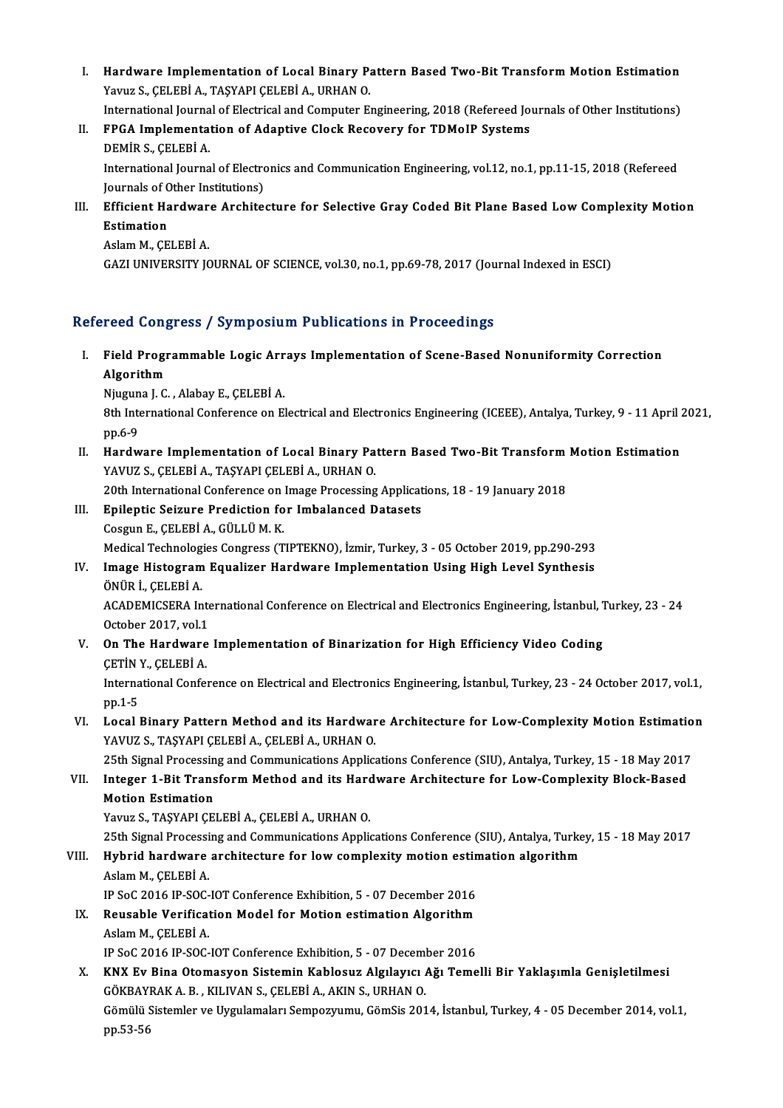I. Hardware Implementation of Local Binary Pattern Based Two-Bit Transform Motion Estimation<br>Narva S. CELERÍA, TASYARLCELERÍA, URHAN O **Hardware Implementation of Local Binary P.**<br>Yavuz S., ÇELEBİ A., TAŞYAPI ÇELEBİ A., URHAN O.<br>International Jaurnal of Electrical and Computer E. Hardware Implementation of Local Binary Pattern Based Two-Bit Transform Motion Estimation<br>Yavuz S., ÇELEBİ A., TAŞYAPI ÇELEBİ A., URHAN O.<br>International Journal of Electrical and Computer Engineering, 2018 (Refereed Journa

Yavuz S., ÇELEBİ A., TAŞYAPI ÇELEBİ A., URHAN O.<br>International Journal of Electrical and Computer Engineering, 2018 (Refereed Journal of Electrical and Computer Engineering, 2018 (Refereed Journal of Adaptive Clock Recover International Journa<br>FPGA Implementa<br>DEMİR S., ÇELEBİ A.<br>International Journa

FPGA Implementation of Adaptive Clock Recovery for TDMoIP Systems<br>DEMİR S., ÇELEBİ A.<br>International Journal of Electronics and Communication Engineering, vol.12, no.1, pp.11-15, 2018 (Refereed<br>Journals of Other Institution DEMIR S., ÇELEBI A.<br>International Journal of Electro<br>Journals of Other Institutions)<br>Efficient Hardware Archite International Journal of Electronics and Communication Engineering, vol.12, no.1, pp.11-15, 2018 (Refereed<br>Journals of Other Institutions)<br>III. Efficient Hardware Architecture for Selective Gray Coded Bit Plane Based Low C

Journals of C<br>**Efficient Ha<br>Estimation**<br>Aclam M. CE Efficient Hardwar<br>Estimation<br>Aslam M., ÇELEBİ A.<br>CAZLUNIVERSITY IC

Estimation<br>Aslam M., ÇELEBİ A.<br>GAZI UNIVERSITY JOURNAL OF SCIENCE, vol.30, no.1, pp.69-78, 2017 (Journal Indexed in ESCI)

#### Refereed Congress / Symposium Publications in Proceedings

I. Field Programmable Logic Arrays Implementation of Scene-Based Nonuniformity Correction Algorithm Field Programmable Logic Arr<br>Algorithm<br>Njuguna J. C. , Alabay E., ÇELEBİ A.<br><sup>9th International Conference on El</sup>

8th International Conference on Electrical and Electronics Engineering (ICEEE), Antalya, Turkey, 9 - 11 April 2021,<br>pp.6-9 Njugun<br>8th Inte<br>pp.6-9<br>Hardw 8th International Conference on Electrical and Electronics Engineering (ICEEE), Antalya, Turkey, 9 - 11 April 2<br>pp.6-9<br>II. Hardware Implementation of Local Binary Pattern Based Two-Bit Transform Motion Estimation<br>yavuz s.

pp.6-9<br>Hardware Implementation of Local Binary Pa<br>YAVUZ S., ÇELEBİ A., TAŞYAPI ÇELEBİ A., URHAN O.<br>20th International Conference en Image Brecessing Hardware Implementation of Local Binary Pattern Based Two-Bit Transform<br>YAVUZ S., ÇELEBİ A., TAŞYAPI ÇELEBİ A., URHAN O.<br>20th International Conference on Image Processing Applications, 18 - 19 January 2018<br>Enilantis Seigur

20th International Conference on Image Processing Applications, 18 - 19 January 2018

YAVUZ S., ÇELEBİ A., TAŞYAPI ÇELEBİ A., URHAN O.<br>20th International Conference on Image Processing Applicat<br>III. Epileptic Seizure Prediction for Imbalanced Datasets<br>Cosgun E., ÇELEBİ A., GÜLLÜ M. K. Epileptic Seizure Prediction for Imbalanced Datasets<br>Cosgun E., ÇELEBİ A., GÜLLÜ M. K.<br>Medical Technologies Congress (TIPTEKNO), İzmir, Turkey, 3 - 05 October 2019, pp.290-293<br>Image Histogram Fauelizer Hardware Implementat

#### IV. Image Histogram Equalizer Hardware Implementation Using High Level Synthesis<br>ÖNÜR İ., CELEBİ A. Medical Technolog<br>Image Histogram<br>ÖNÜR İ., ÇELEBİ A. I<mark>mage Histogram Equalizer Hardware Implementation Using High Level Synthesis</mark><br>ÖNÜR İ., ÇELEBİ A.<br>ACADEMICSERA International Conference on Electrical and Electronics Engineering, İstanbul, Turkey, 23 - 24<br>Ostabar 2017 yal ÖNÜR İ., ÇELEBİ A.<br>ACADEMICSERA Inte<br>October 2017, vol.1<br>On The Handwane October 2017, vol 1

## V. On The Hardware Implementation of Binarization for High Efficiency Video Coding On The Hardware Implementation of Binarization for High Efficiency Video Coding<br>ÇETİN Y., ÇELEBİ A.<br>International Conference on Electrical and Electronics Engineering, İstanbul, Turkey, 23 - 24 October 2017, vol.1,<br>nn 1 E

CETIN<br>Interna<br>pp.1-5<br>Less l International Conference on Electrical and Electronics Engineering, İstanbul, Turkey, 23 - 24 October 2017, vol.1,<br>pp.1-5<br>VI. Local Binary Pattern Method and its Hardware Architecture for Low-Complexity Motion Estimation<br>V

pp.1-5<br>Local Binary Pattern Method and its Hardwar<br>YAVUZ S., TAŞYAPI ÇELEBİ A., ÇELEBİ A., URHAN O.<br>25th Signal Processing and Communisations Annliss Local Binary Pattern Method and its Hardware Architecture for Low-Complexity Motion Estimatio<br>YAVUZ S., TAŞYAPI ÇELEBİ A., ÇELEBİ A., URHAN O.<br>25th Signal Processing and Communications Applications Conference (SIU), Antaly

YAVUZ S., TAŞYAPI ÇELEBİ A., ÇELEBİ A., URHAN O.<br>25th Signal Processing and Communications Applications Conference (SIU), Antalya, Turkey, 15 - 18 May 2017<br>10th - Integer 1-Bit Transform Method and its Hardware Architectur 25th Signal Processin<br>Integer 1-Bit Trans<br>Motion Estimation<br>Yawız S. TASYAPLCE! Motion Estimation<br>Yavuz S., TAŞYAPI ÇELEBİ A., ÇELEBİ A., URHAN O. Motion Estimation<br>Yavuz S., TAŞYAPI ÇELEBİ A., ÇELEBİ A., URHAN O.<br>25th Signal Processing and Communications Applications Conference (SIU), Antalya, Turkey, 15 - 18 May 2017<br>Huhrid hardware architecture for low complexity

Yavuz S., TAŞYAPI ÇELEBİ A., ÇELEBİ A., URHAN O.<br>25th Signal Processing and Communications Applications Conference (SIU), Antalya, Turke<br>VIII. Hybrid hardware architecture for low complexity motion estimation algorithm 25th Signal Processi<br>Hybrid hardware<br>Aslam M., ÇELEBİ A.<br>IB SoC 2016 IB SOC Hybrid hardware architecture for low complexity motion estin<br>Aslam M., ÇELEBİ A.<br>IP SoC 2016 IP-SOC-IOT Conference Exhibition, 5 - 07 December 2016<br>Bouseble Verification Model for Motion estimation Algorithm

Aslam M., ÇELEBİ A.<br>IP SoC 2016 IP-SOC-IOT Conference Exhibition, 5 - 07 December 2016<br>IX. Reusable Verification Model for Motion estimation Algorithm IP SoC 2016 IP-SOC-<br>Reusable Verificat<br>Aslam M., ÇELEBİ A.<br>IP SoC 2016 IP SOC Reusable Verification Model for Motion estimation Algorithm<br>Aslam M., ÇELEBİ A.<br>IP SoC 2016 IP-SOC-IOT Conference Exhibition, 5 - 07 December 2016<br>KNY Ev Bine Otomasyon Sistemin Kabloeur Algelewer Ağı Teme

Aslam M., ÇELEBİ A.<br>IP SoC 2016 IP-SOC-IOT Conference Exhibition, 5 - 07 December 2016<br>X. KNX Ev Bina Otomasyon Sistemin Kablosuz Algılayıcı Ağı Temelli Bir Yaklaşımla Genişletilmesi IP SoC 2016 IP-SOC-IOT Conference Exhibition, 5 - 07 Decem<br>KNX Ev Bina Otomasyon Sistemin Kablosuz Algılayıcı<br>GÖKBAYRAK A. B., KILIVAN S., ÇELEBİ A., AKIN S., URHAN O.<br>Gömülü Sistemler ve Uygulamaları Semnegyumu, Gömülü Si Gömülü Sistemler ve Uygulamaları Sempozyumu, GömSis 2014, İstanbul, Turkey, 4 - 05 December 2014, vol.1, pp.53-56 GÖKBAY<br>Gömülü <mark>:</mark><br>pp.53-56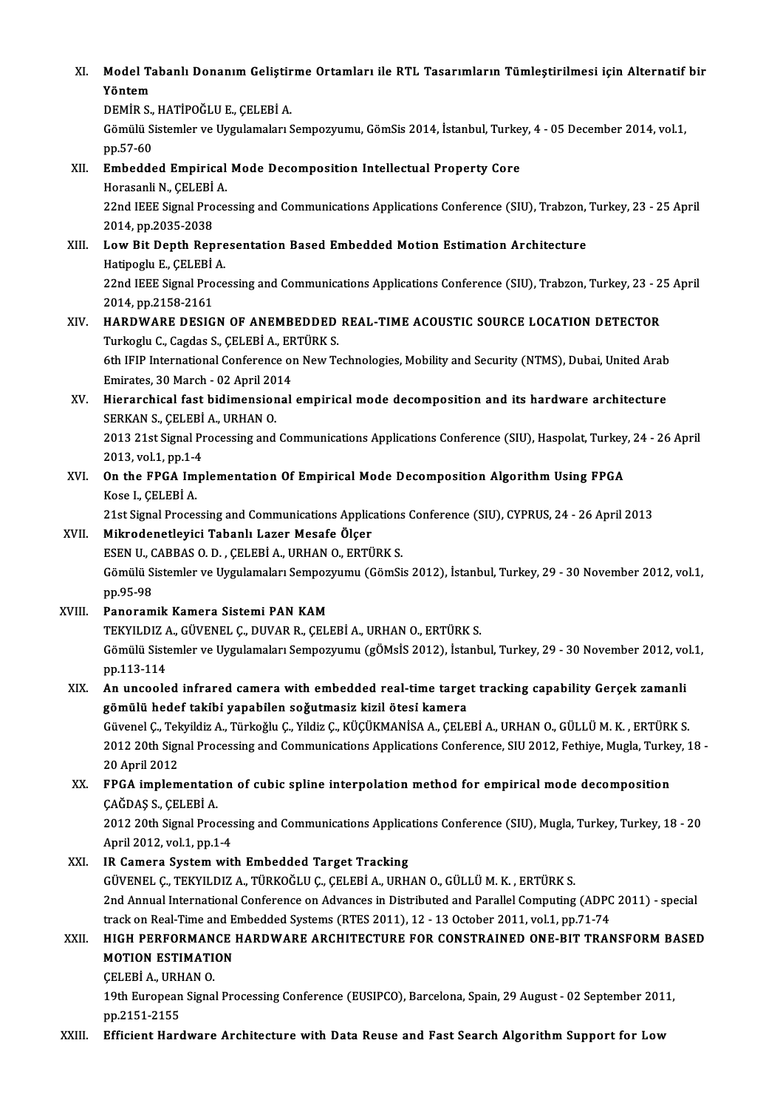XI. Model Tabanlı Donanım Geliştirme Ortamları ile RTL Tasarımların Tümleştirilmesi için Alternatif bir<br>Yöntem Model Ta<br>Yöntem<br>DEMİR S Model Tabanlı Donanım Geliştir<br>Yöntem<br>DEMİR S., HATİPOĞLU E., ÇELEBİ A.<br>Gömülü Sistemler ve Uvsulameleru Yöntem<br>DEMİR S., HATİPOĞLU E., ÇELEBİ A.<br>Gömülü Sistemler ve Uygulamaları Sempozyumu, GömSis 2014, İstanbul, Turkey, 4 - 05 December 2014, vol.1,

pp.57-60 Gömülü Sistemler ve Uygulamaları Sempozyumu, GömSis 2014, İstanbul, Turke<br>pp.57-60<br>XII. Embedded Empirical Mode Decomposition Intellectual Property Core<br>Horacali N. CELEPI A

pp.57-60<br><mark>Embedded Empirical</mark><br>Horasanli N., ÇELEBİ A.<br>22nd IEEE Signal Proce Embedded Empirical Mode Decomposition Intellectual Property Core<br>Horasanli N., ÇELEBİ A.<br>22nd IEEE Signal Processing and Communications Applications Conference (SIU), Trabzon, Turkey, 23 - 25 April<br>2014. np.2025.2029 Horasanli N., ÇELEBİ<br>22nd IEEE Signal Pro<br>2014, pp.2035-2038<br>Low Bit Donth Bon 22nd IEEE Signal Processing and Communications Applications Conference (SIU), Trabzon,<br>2014, pp.2035-2038<br>XIII. Low Bit Depth Representation Based Embedded Motion Estimation Architecture<br>Hatinogly E. CELEPLA

## 2014, pp.2035-2038<br>**Low Bit Depth Repre<br>Hatipoglu E., ÇELEBİ A.**<br>22nd IEEE Signal Broca Hatipoglu E., CELEBİ A

22nd IEEE Signal Processing and Communications Applications Conference (SIU), Trabzon, Turkey, 23 - 25 April 2014, pp.2158-2161

## XIV. HARDWARE DESIGN OF ANEMBEDDED REAL-TIME ACOUSTIC SOURCE LOCATION DETECTOR 2014, pp.2158-2161<br>HARDWARE DESIGN OF ANEMBEDDED<br>Turkoglu C., Cagdas S., ÇELEBİ A., ERTÜRK S.<br>6th JEIP International Conference on Now To

6th IFIP International Conference on New Technologies, Mobility and Security (NTMS), Dubai, United Arab Turkoglu C., Cagdas S., ÇELEBİ A., ER<br>6th IFIP International Conference of<br>Emirates, 30 March - 02 April 2014<br>Hierorshisel fest hidimensional Emirates, 30 March - 02 April 2014

XV. Hierarchical fast bidimensional empiricalmode decomposition and its hardware architecture SERKAN S., CELEBİ A., URHAN O.

2013 21st Signal Processing and Communications Applications Conference (SIU), Haspolat, Turkey, 24 - 26 April<br>2013, vol.1, pp.1-4 2013 21st Signal Processing and Communications Applications Conference (SIU), Haspolat, Turkey<br>2013, vol.1, pp.1-4<br>XVI. On the FPGA Implementation Of Empirical Mode Decomposition Algorithm Using FPGA<br>Keep L CELERIA

2013, vol.1, pp.1-4<br>**On the FPGA Im**<br>Kose I., ÇELEBİ A.<br>21st Signal Proces 0n the FPGA Implementation Of Empirical Mode Decomposition Algorithm Using FPGA<br>Kose I., ÇELEBİ A.<br>21st Signal Processing and Communications Applications Conference (SIU), CYPRUS, 24 - 26 April 2013<br>Mikrodonatlevisi Tabanl Kose I., ÇELEBİ A.<br>21st Signal Processing and Communications Applic:<br>XVII. Mikrodenetleyici Tabanlı Lazer Mesafe Ölçer<br>ESEN II. CAPPAS O.D., CELEPİ A. UPHAN O. EPTÜ

21st Signal Processing and Communications Applications<br>Mikrodenetleyici Tabanlı Lazer Mesafe Ölçer<br>ESEN U., CABBAS O. D. , ÇELEBİ A., URHAN O., ERTÜRK S.<br>Gömülü Sistemler ve Uvgulamaları Sennegrumu (Gömülü KVII. Mikrodenetleyici Tabanlı Lazer Mesafe Ölçer<br>ESEN U., CABBAS O. D. , ÇELEBİ A., URHAN O., ERTÜRK S.<br>Gömülü Sistemler ve Uygulamaları Sempozyumu (GömSis 2012), İstanbul, Turkey, 29 - 30 November 2012, vol.1,<br>pp.95-98 ESEN U., CABBAS O. D., CELEBI A., URHAN O., ERTÜRK S.

#### XVIII. Panoramik Kamera Sistemi PAN KAM

pp.95-98<br><mark>Panoramik Kamera Sistemi PAN KAM</mark><br>TEKYILDIZ A., GÜVENEL Ç., DUVAR R., ÇELEBİ A., URHAN O., ERTÜRK S.<br>Gömülü Sistemler ve Uvgulameler Somnegyumu (çÖMeİS 2012), İstanb Gömülü Sistemler ve Uygulamaları Sempozyumu (gÖMsİS 2012), İstanbul, Turkey, 29 - 30 November 2012, vol.1, pp.113-114 TEKYILDIZ /<br>Gömülü Siste<br>pp.113-114<br>An ungoolo

### XIX. An uncooled infrared camera with embedded real-time target tracking capability Gerçek zamanli gömülü hedef taki̇bi̇yapabi̇len soǧutmasiz kizil ötesi̇kamera An uncooled infrared camera with embedded real-time target tracking capability Gerçek zamanli<br>gömülü hedef takibi yapabilen soğutmasiz kizil ötesi kamera<br>Güvenel Ç., Tekyildiz A., Türkoğlu Ç., Yildiz Ç., KÜÇÜKMANİSA A., ÇE

gömülü hedef takibi yapabilen soğutmasiz kizil ötesi kamera<br>Güvenel Ç., Tekyildiz A., Türkoğlu Ç., Yildiz Ç., KÜÇÜKMANİSA A., ÇELEBİ A., URHAN O., GÜLLÜ M. K. , ERTÜRK S.<br>2012 20th Signal Processing and Communications Appl Güvenel Ç., Tek<br>2012 20th Sigr<br>20 April 2012<br>EPCA implem 2012 20th Signal Processing and Communications Applications Conference, SIU 2012, Fethiye, Mugla, Turke<br>20 April 2012<br>XX. FPGA implementation of cubic spline interpolation method for empirical mode decomposition<br> $CA\breve{C}DAS$ 

## 20 April 2012<br>FPGA implementation<br>ÇAĞDAŞ S., ÇELEBİ A.<br>2012 20th Simal Pres FPGA implementation of cubic spline interpolation method for empirical mode decomposition<br>ÇAĞDAŞ S., ÇELEBİ A.<br>2012 20th Signal Processing and Communications Applications Conference (SIU), Mugla, Turkey, Turkey, 18 - 20<br>Ap

ÇAĞDAŞ S., ÇELEBİ A.<br>2012 20th Signal Processing and Communications Applications Conference (SIU), Mugla, Turkey, Turkey, 18 - 20<br>April 2012, vol.1, pp.1-4

#### XXI. IR Camera System with Embedded Target Tracking

GÜVENEL Ç.,TEKYILDIZA.,TÜRKOĞLUÇ.,ÇELEBİA.,URHANO.,GÜLLÜM.K. ,ERTÜRKS. IR Camera System with Embedded Target Tracking<br>GÜVENEL Ç., TEKYILDIZ A., TÜRKOĞLU Ç., ÇELEBİ A., URHAN O., GÜLLÜ M. K. , ERTÜRK S.<br>2nd Annual International Conference on Advances in Distributed and Parallel Computing (ADPC GÜVENEL Ç., TEKYILDIZ A., TÜRKOĞLU Ç., ÇELEBİ A., URHAN O., GÜLLÜ M. K. , ERTÜRK S.<br>2nd Annual International Conference on Advances in Distributed and Parallel Computing (ADPC<br>track on Real-Time and Embedded Systems (RTES 2nd Annual International Conference on Advances in Distributed and Parallel Computing (ADPC 2011) - special<br>track on Real-Time and Embedded Systems (RTES 2011), 12 - 13 October 2011, vol.1, pp.71-74<br>XXII. HIGH PERFORMANCE

## track on Real-Time and Embedded Systems (RTES 2011), 12 - 13 October 2011, vol.1, pp.71-74<br>XXII. HIGH PERFORMANCE HARDWARE ARCHITECTURE FOR CONSTRAINED ONE-BIT TRANSFORM BASED<br>MOTION ESTIMATION<br>CELEBI A., URHAN O. **MOTION ESTIMATION**

19th European Signal Processing Conference (EUSIPCO), Barcelona, Spain, 29 August - 02 September 2011, pp.2151-2155

XXIII. Efficient Hardware Architecture with Data Reuse and Fast Search Algorithm Support for Low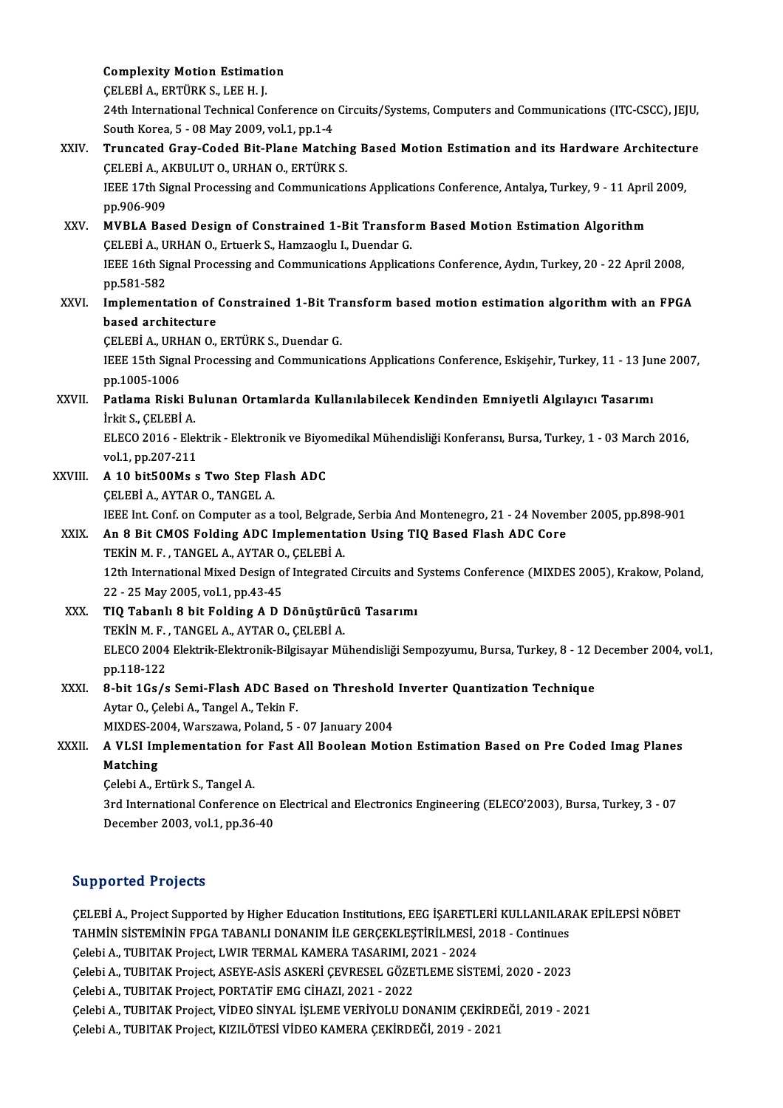**Complexity Motion Estimation** 

ÇELEBİA.,ERTÜRKS.,LEEH. J.

24th International Technical Conference on Circuits/Systems, Computers and Communications (ITC-CSCC), JEJU, South Korea, 5 - 08 May 2009, vol.1, pp.1-4 24th International Technical Conference on Circuits/Systems, Computers and Communications (ITC-CSCC), JEJU,<br>South Korea, 5 - 08 May 2009, vol.1, pp.1-4<br>XXIV. Truncated Gray-Coded Bit-Plane Matching Based Motion Estimation

- South Korea, 5 08 May 2009, vol.1, pp.1-4<br>Truncated Gray-Coded Bit-Plane Matchin<br>ÇELEBİ A., AKBULUT O., URHAN O., ERTÜRK S. Truncated Gray-Coded Bit-Plane Matching Based Motion Estimation and its Hardware Architectu<br>CELEBİ A., AKBULUT O., URHAN O., ERTÜRK S.<br>IEEE 17th Signal Processing and Communications Applications Conference, Antalya, Turkey CELEBI A., A<br>IEEE 17th Si<br>pp.906-909<br>MVPLA Bas IEEE 17th Signal Processing and Communications Applications Conference, Antalya, Turkey, 9 - 11 Apri<br>pp.906-909<br>XXV. MVBLA Based Design of Constrained 1-Bit Transform Based Motion Estimation Algorithm<br>CELEPLA URHAN O. Ertu pp.906-909<br>MVBLA Based Design of Constrained 1-Bit Transfor<br>ÇELEBİ A., URHAN O., Ertuerk S., Hamzaoglu I., Duendar G.<br>IEEE 16th Signal Processing and Communications Applicat MVBLA Based Design of Constrained 1-Bit Transform Based Motion Estimation Algorithm<br>CELEBI A., URHAN O., Ertuerk S., Hamzaoglu I., Duendar G.<br>IEEE 16th Signal Processing and Communications Applications Conference, Aydın, T CELEBI A., U<br>IEEE 16th Si<br>pp.581-582<br>Implements IEEE 16th Signal Processing and Communications Applications Conference, Aydın, Turkey, 20 - 22 April 2008,<br>pp.581-582<br>XXVI. Implementation of Constrained 1-Bit Transform based motion estimation algorithm with an FPGA
- pp.581-582<br>Implementation of<br>based architecture<br>CELEPIA UPHANO Implementation of Constrained 1-Bit Tra<br>based architecture<br>CELEBİ A., URHAN O., ERTÜRK S., Duendar G.<br>IEEE 15th Signal Processing and Communisat

based architecture<br>CELEBI A., URHAN O., ERTÜRK S., Duendar G.<br>IEEE 15th Signal Processing and Communications Applications Conference, Eskişehir, Turkey, 11 - 13 June 2007,<br>pp.1005-1006 CELEBI A., URH<br>IEEE 15th Sign:<br>pp.1005-1006<br>Patlama Biski IEEE 15th Signal Processing and Communications Applications Conference, Eskişehir, Turkey, 11 - 13 July pp.1005-1006<br>XXVII. Patlama Riski Bulunan Ortamlarda Kullanılabilecek Kendinden Emniyetli Algılayıcı Tasarımı<br>İslit S.

## pp.1005-1006<br>Patlama Riski B<br>İrkit S., ÇELEBİ A.<br>ELECO 2016 - Ele Patlama Riski Bulunan Ortamlarda Kullanılabilecek Kendinden Emniyetli Algılayıcı Tasarımı<br>İrkit S., ÇELEBİ A.<br>ELECO 2016 - Elektrik - Elektronik ve Biyomedikal Mühendisliği Konferansı, Bursa, Turkey, 1 - 03 March 2016,<br>vel

irkit S., ÇELEBİ A.<br>ELECO 2016 - Elek<br>vol.1, pp.207-211<br>A.10 bitE00Ms.s ELECO 2016 - Elektrik - Elektronik ve Biyor<br>vol.1, pp.207-211<br>XXVIII. A 10 bit500Ms s Two Step Flash ADC

vol.1, pp.207-211<br>A 10 bit500Ms s Two Step Flash ADC<br>CELEBİ A., AYTAR O., TANGEL A. A 10 bit500Ms s Two Step Flash ADC<br>ÇELEBİ A., AYTAR O., TANGEL A.<br>IEEE Int. Conf. on Computer as a tool, Belgrade, Serbia And Montenegro, 21 - 24 November 2005, pp.898-901<br>An 8 Bit CMOS Folding ADC Implementation Heing TIO

### XXIX. An 8 Bit CMOS Folding ADC Implementation Using TIQ Based Flash ADC Core IEEE Int. Conf. on Computer as a tool, Belgrad<br>An 8 Bit CMOS Folding ADC Implementat<br>TEKİN M. F. , TANGEL A., AYTAR O., ÇELEBİ A.<br>12th International Mived Design of Integrated 12th International Mixed Design of Integrated Circuits and Systems Conference (MIXDES 2005), Krakow, Poland,<br>22 - 25 May 2005, vol.1, pp.43-45 TEKİN M.F., TANGEL A., AYTAR O., ÇELEBİ A. 12th International Mixed Design of Integrated Circuits and 3<br>22 - 25 May 2005, vol.1, pp.43-45<br>XXX. TIQ Tabanlı 8 bit Folding A D Dönüştürücü Tasarımı<br>TEVİNME TANGELA AVTAR O GELEPLA

- 22 25 May 2005, vol.1, pp.43-45<br>**TIQ Tabanlı 8 bit Folding A D Dönüştürü**<br>TEKİN M. F. , TANGEL A., AYTAR O., ÇELEBİ A.<br>ELECO 2004 Flaktrik Flaktronik Bilgisayar Mü ELECO 2004 Elektrik-Elektronik-Bilgisayar Mühendisliği Sempozyumu, Bursa, Turkey, 8 - 12 December 2004, vol.1,<br>pp.118-122 TEKİN M.F., TANGEL A., AYTAR O., ÇELEBİ A. ELECO 2004 Elektrik-Elektronik-Bilgisayar Mühendisliği Sempozyumu, Bursa, Turkey, 8 - 12 I<br>pp.118-122<br>XXXI. 8-bit 1Gs/s Semi-Flash ADC Based on Threshold Inverter Quantization Technique
- pp.118-122<br>8-bit 1Gs/s Semi-Flash ADC Base<br>Aytar O., Çelebi A., Tangel A., Tekin F.<br>MIYDES 2004 Warszawa Baland E 8-bit 1Gs/s Semi-Flash ADC Based on Threshold<br>Aytar O., Çelebi A., Tangel A., Tekin F.<br>MIXDES-2004, Warszawa, Poland, 5 - 07 January 2004<br>A VI SL Implementation fon Fost All Boolean Moti MIXDES-2004, Warszawa, Poland, 5 - 07 January 2004

# Aytar O., Çelebi A., Tangel A., Tekin F.<br>MIXDES-2004, Warszawa, Poland, 5 - 07 January 2004<br>XXXII. A VLSI Implementation for Fast All Boolean Motion Estimation Based on Pre Coded Imag Planes<br>Matching

ÇelebiA.,ErtürkS.,TangelA.

Matching<br>Çelebi A., Ertürk S., Tangel A.<br>3rd International Conference on Electrical and Electronics Engineering (ELECO'2003), Bursa, Turkey, 3 - 07<br>Desamber 2003, vol.1, np.36.40 Çelebi A., Ertürk S., Tangel A.<br>3rd International Conference on<br>December 2003, vol.1, pp.36-40 December 2003, vol.1, pp.36-40<br>Supported Projects

Supported Projects<br>ÇELEBİ A., Project Supported by Higher Education Institutions, EEG İŞARETLERİ KULLANILARAK EPİLEPSİ NÖBET<br>TAHMİN SİSTEMİNİN ERÇA TARANI LDONANIM İLE CERCEKLESTİRİLMESİ 2019, Continues TAHMIN SISTEMININ POSTOR<br>CELEBİ A., Project Supported by Higher Education Institutions, EEG İŞARETLERİ KULLANILAR<br>TAHMİN SİSTEMİNİN FPGA TABANLI DONANIM İLE GERÇEKLEŞTİRİLMESİ, 2018 - Continues<br>Celebi A. TURITAK Project LW ÇELEBİ A., Project Supported by Higher Education Institutions, EEG İŞARETLI<br>TAHMİN SİSTEMİNİN FPGA TABANLI DONANIM İLE GERÇEKLEŞTİRİLMESİ, 2<br>Çelebi A., TUBITAK Project, LWIR TERMAL KAMERA TASARIMI, 2021 - 2024<br>Celebi A., T TAHMİN SİSTEMİNİN FPGA TABANLI DONANIM İLE GERÇEKLEŞTİRİLMESİ, 2018 - Continues<br>Çelebi A., TUBITAK Project, LWIR TERMAL KAMERA TASARIMI, 2021 - 2024<br>Çelebi A., TUBITAK Project, ASEYE-ASİS ASKERİ ÇEVRESEL GÖZETLEME SİSTEMİ, Çelebi A., TUBITAK Project, LWIR TERMAL KAMERA TASARIMI, 2<br>Çelebi A., TUBITAK Project, ASEYE-ASİS ASKERİ ÇEVRESEL GÖZE<br>Çelebi A., TUBITAK Project, PORTATİF EMG CİHAZI, 2021 - 2022<br>Çelebi A., TUBITAK Project, FORTATİF EMG C Çelebi A., TUBITAK Project, ASEYE-ASİS ASKERİ ÇEVRESEL GÖZETLEME SİSTEMİ, 2020 - 2023<br>Çelebi A., TUBITAK Project, PORTATİF EMG CİHAZI, 2021 - 2022<br>Çelebi A., TUBITAK Project, VİDEO SİNYAL İŞLEME VERİYOLU DONANIM ÇEKİRDEĞİ, Çelebi A., TUBITAK Project, PORTATİF EMG CİHAZI, 2021 - 2022<br>Çelebi A., TUBITAK Project, VİDEO SİNYAL İŞLEME VERİYOLU DONANIM ÇEKİRDEĞİ, 2019 - 2021<br>Çelebi A., TUBITAK Project, KIZILÖTESİ VİDEO KAMERA ÇEKİRDEĞİ, 2019 - 202